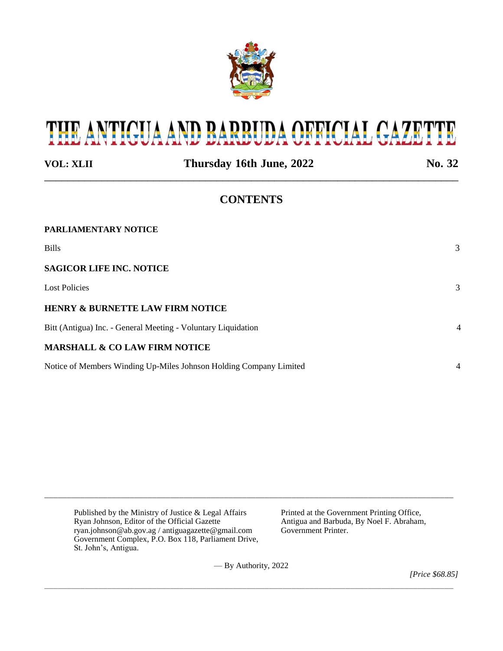

# THE ANTIGUA AND BARBUDA OFFICIAL GAZETTE

| <b>VOL: XLII</b>                                                   | Thursday 16th June, 2022 | No. 32         |
|--------------------------------------------------------------------|--------------------------|----------------|
|                                                                    | <b>CONTENTS</b>          |                |
| PARLIAMENTARY NOTICE                                               |                          |                |
| <b>Bills</b>                                                       |                          | 3              |
| <b>SAGICOR LIFE INC. NOTICE</b>                                    |                          |                |
| <b>Lost Policies</b>                                               |                          | 3              |
| <b>HENRY &amp; BURNETTE LAW FIRM NOTICE</b>                        |                          |                |
| Bitt (Antigua) Inc. - General Meeting - Voluntary Liquidation      |                          | $\overline{4}$ |
| <b>MARSHALL &amp; CO LAW FIRM NOTICE</b>                           |                          |                |
| Notice of Members Winding Up-Miles Johnson Holding Company Limited |                          | $\overline{4}$ |

Published by the Ministry of Justice & Legal Affairs Printed at the Government Printing Office,<br>
Ryan Johnson, Editor of the Official Gazette Antigua and Barbuda, By Noel F. Abraham, Ryan Johnson, Editor of the Official Gazette <br>
ryan.johnson@ab.gov.ag / antiguagazette@gmail.com Government Printer. ryan.johnson@ab.gov.ag / antiguagazette@gmail.com Government Complex, P.O. Box 118, Parliament Drive, St. John's, Antigua.

— By Authority, 2022

\_\_\_\_\_\_\_\_\_\_\_\_\_\_\_\_\_\_\_\_\_\_\_\_\_\_\_\_\_\_\_\_\_\_\_\_\_\_\_\_\_\_\_\_\_\_\_\_\_\_\_\_\_\_\_\_\_\_\_\_\_\_\_\_\_\_\_\_\_\_\_\_\_\_\_\_\_\_\_\_\_\_\_\_\_\_\_\_\_\_\_

\_\_\_\_\_\_\_\_\_\_\_\_\_\_\_\_\_\_\_\_\_\_\_\_\_\_\_\_\_\_\_\_\_\_\_\_\_\_\_\_\_\_\_\_\_\_\_\_\_\_\_\_\_\_\_\_\_\_\_\_\_\_\_\_\_\_\_\_\_\_\_\_\_\_\_\_\_\_\_\_\_\_\_\_\_\_\_\_\_\_\_

*[Price \$68.85]*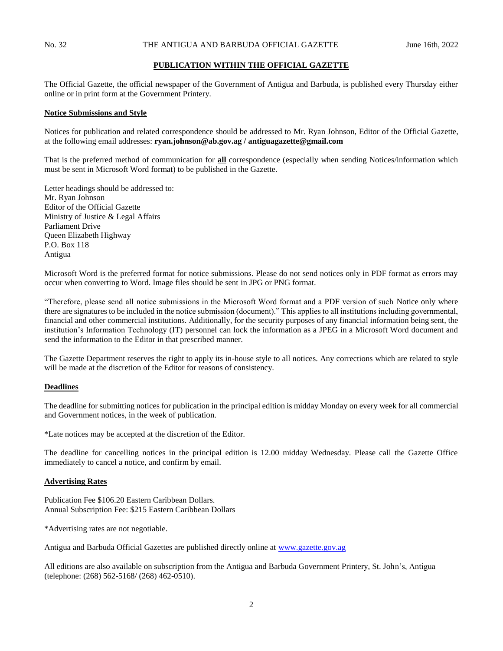## **PUBLICATION WITHIN THE OFFICIAL GAZETTE**

The Official Gazette, the official newspaper of the Government of Antigua and Barbuda, is published every Thursday either online or in print form at the Government Printery.

#### **Notice Submissions and Style**

Notices for publication and related correspondence should be addressed to Mr. Ryan Johnson, Editor of the Official Gazette, at the following email addresses: **ryan.johnson@ab.gov.ag / antiguagazette@gmail.com**

That is the preferred method of communication for **all** correspondence (especially when sending Notices/information which must be sent in Microsoft Word format) to be published in the Gazette.

Letter headings should be addressed to: Mr. Ryan Johnson Editor of the Official Gazette Ministry of Justice & Legal Affairs Parliament Drive Queen Elizabeth Highway P.O. Box 118 Antigua

Microsoft Word is the preferred format for notice submissions. Please do not send notices only in PDF format as errors may occur when converting to Word. Image files should be sent in JPG or PNG format.

"Therefore, please send all notice submissions in the Microsoft Word format and a PDF version of such Notice only where there are signatures to be included in the notice submission (document)." This applies to all institutions including governmental, financial and other commercial institutions. Additionally, for the security purposes of any financial information being sent, the institution's Information Technology (IT) personnel can lock the information as a JPEG in a Microsoft Word document and send the information to the Editor in that prescribed manner.

The Gazette Department reserves the right to apply its in-house style to all notices. Any corrections which are related to style will be made at the discretion of the Editor for reasons of consistency.

## **Deadlines**

The deadline for submitting notices for publication in the principal edition is midday Monday on every week for all commercial and Government notices, in the week of publication.

\*Late notices may be accepted at the discretion of the Editor.

The deadline for cancelling notices in the principal edition is 12.00 midday Wednesday. Please call the Gazette Office immediately to cancel a notice, and confirm by email.

#### **Advertising Rates**

Publication Fee \$106.20 Eastern Caribbean Dollars. Annual Subscription Fee: \$215 Eastern Caribbean Dollars

\*Advertising rates are not negotiable.

Antigua and Barbuda Official Gazettes are published directly online at [www.gazette.gov.ag](http://www.gazette.gov.ag/)

All editions are also available on subscription from the Antigua and Barbuda Government Printery, St. John's, Antigua (telephone: (268) 562-5168/ (268) 462-0510).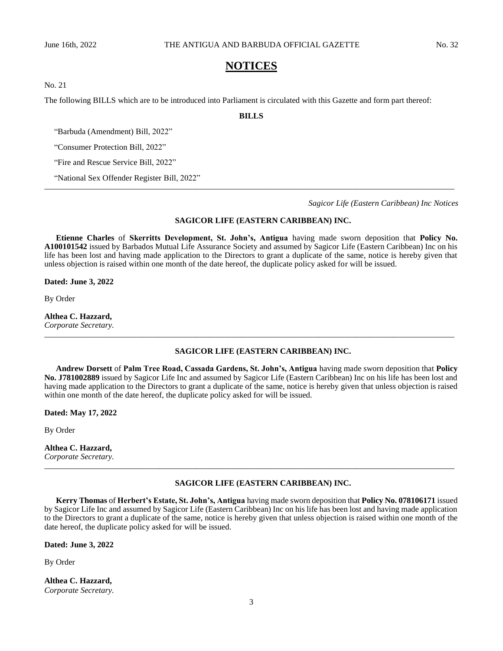## **NOTICES**

No. 21

The following BILLS which are to be introduced into Parliament is circulated with this Gazette and form part thereof:

**BILLS**

*\_\_\_\_\_\_\_\_\_\_\_\_\_\_\_\_\_\_\_\_\_\_\_\_\_\_\_\_\_\_\_\_\_\_\_\_\_\_\_\_\_\_\_\_\_\_\_\_\_\_\_\_\_\_\_\_\_\_\_\_\_\_\_\_\_\_\_\_\_\_\_\_\_\_\_\_\_\_\_\_\_\_\_\_\_\_\_\_\_\_\_\_\_\_\_\_\_\_\_\_*

"Barbuda (Amendment) Bill, 2022"

"Consumer Protection Bill, 2022"

"Fire and Rescue Service Bill, 2022"

"National Sex Offender Register Bill, 2022"

*Sagicor Life (Eastern Caribbean) Inc Notices*

#### **SAGICOR LIFE (EASTERN CARIBBEAN) INC.**

**Etienne Charles** of **Skerritts Development, St. John's, Antigua** having made sworn deposition that **Policy No. A100101542** issued by Barbados Mutual Life Assurance Society and assumed by Sagicor Life (Eastern Caribbean) Inc on his life has been lost and having made application to the Directors to grant a duplicate of the same, notice is hereby given that unless objection is raised within one month of the date hereof, the duplicate policy asked for will be issued.

**Dated: June 3, 2022**

By Order

**Althea C. Hazzard,** *Corporate Secretary.*

## **SAGICOR LIFE (EASTERN CARIBBEAN) INC.**

**Andrew Dorsett** of **Palm Tree Road, Cassada Gardens, St. John's, Antigua** having made sworn deposition that **Policy No. J781002889** issued by Sagicor Life Inc and assumed by Sagicor Life (Eastern Caribbean) Inc on his life has been lost and having made application to the Directors to grant a duplicate of the same, notice is hereby given that unless objection is raised within one month of the date hereof, the duplicate policy asked for will be issued.

*\_\_\_\_\_\_\_\_\_\_\_\_\_\_\_\_\_\_\_\_\_\_\_\_\_\_\_\_\_\_\_\_\_\_\_\_\_\_\_\_\_\_\_\_\_\_\_\_\_\_\_\_\_\_\_\_\_\_\_\_\_\_\_\_\_\_\_\_\_\_\_\_\_\_\_\_\_\_\_\_\_\_\_\_\_\_\_\_\_\_\_\_\_\_\_\_\_\_\_\_*

**Dated: May 17, 2022**

By Order

**Althea C. Hazzard,** *Corporate Secretary.*

#### **SAGICOR LIFE (EASTERN CARIBBEAN) INC.**

**Kerry Thomas** of **Herbert's Estate, St. John's, Antigua** having made sworn deposition that **Policy No. 078106171** issued by Sagicor Life Inc and assumed by Sagicor Life (Eastern Caribbean) Inc on his life has been lost and having made application to the Directors to grant a duplicate of the same, notice is hereby given that unless objection is raised within one month of the date hereof, the duplicate policy asked for will be issued.

*\_\_\_\_\_\_\_\_\_\_\_\_\_\_\_\_\_\_\_\_\_\_\_\_\_\_\_\_\_\_\_\_\_\_\_\_\_\_\_\_\_\_\_\_\_\_\_\_\_\_\_\_\_\_\_\_\_\_\_\_\_\_\_\_\_\_\_\_\_\_\_\_\_\_\_\_\_\_\_\_\_\_\_\_\_\_\_\_\_\_\_\_\_\_\_\_\_\_\_\_*

**Dated: June 3, 2022**

By Order

**Althea C. Hazzard,** *Corporate Secretary.*